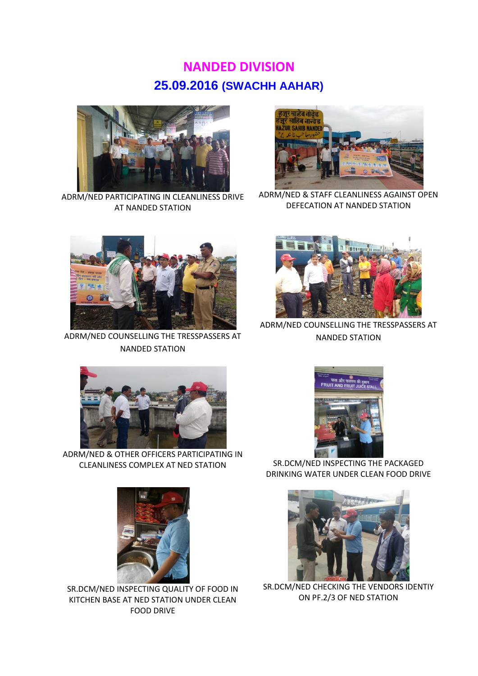## **NANDED DIVISION 25.09.2016 (SWACHH AAHAR)**



ADRM/NED PARTICIPATING IN CLEANLINESS DRIVE AT NANDED STATION



ADRM/NED & STAFF CLEANLINESS AGAINST OPEN DEFECATION AT NANDED STATION



ADRM/NED COUNSELLING THE TRESSPASSERS AT NANDED STATION



ADRM/NED COUNSELLING THE TRESSPASSERS AT NANDED STATION



ADRM/NED & OTHER OFFICERS PARTICIPATING IN CLEANLINESS COMPLEX AT NED STATION SR.DCM/NED INSPECTING THE PACKAGED



DRINKING WATER UNDER CLEAN FOOD DRIVE



SR.DCM/NED INSPECTING QUALITY OF FOOD IN KITCHEN BASE AT NED STATION UNDER CLEAN FOOD DRIVE



SR.DCM/NED CHECKING THE VENDORS IDENTIY ON PF.2/3 OF NED STATION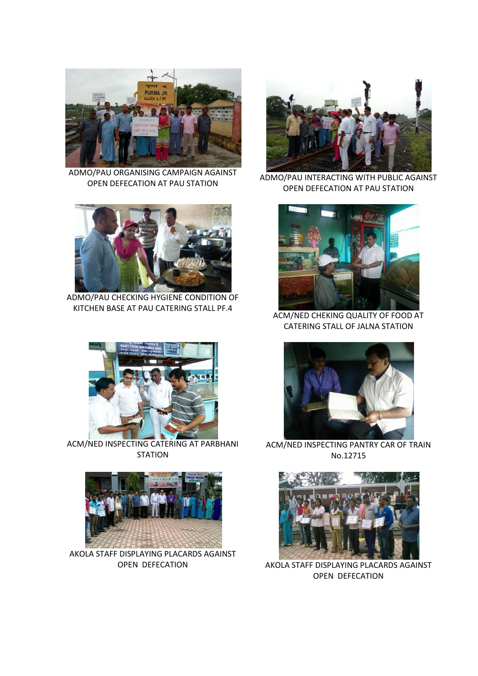

ADMO/PAU ORGANISING CAMPAIGN AGAINST OPEN DEFECATION AT PAU STATION



ADMO/PAU CHECKING HYGIENE CONDITION OF KITCHEN BASE AT PAU CATERING STALL PF.4



ACM/NED INSPECTING CATERING AT PARBHANI **STATION** 



AKOLA STAFF DISPLAYING PLACARDS AGAINST



ADMO/PAU INTERACTING WITH PUBLIC AGAINST OPEN DEFECATION AT PAU STATION



ACM/NED CHEKING QUALITY OF FOOD AT CATERING STALL OF JALNA STATION



ACM/NED INSPECTING PANTRY CAR OF TRAIN No.12715



OPEN DEFECATION AKOLA STAFF DISPLAYING PLACARDS AGAINST OPEN DEFECATION